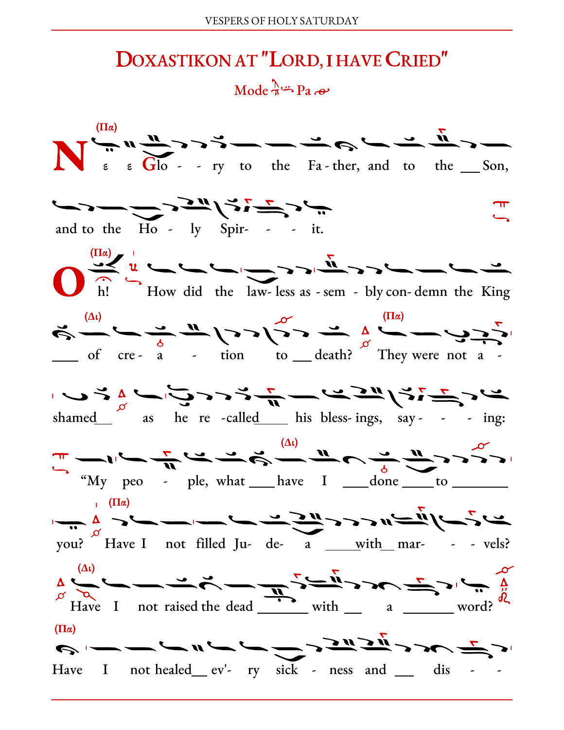## DOXASTIKON AT "LORD, I HAVE CRIED" Mode  $\pi^2$  Pa  $\omega$